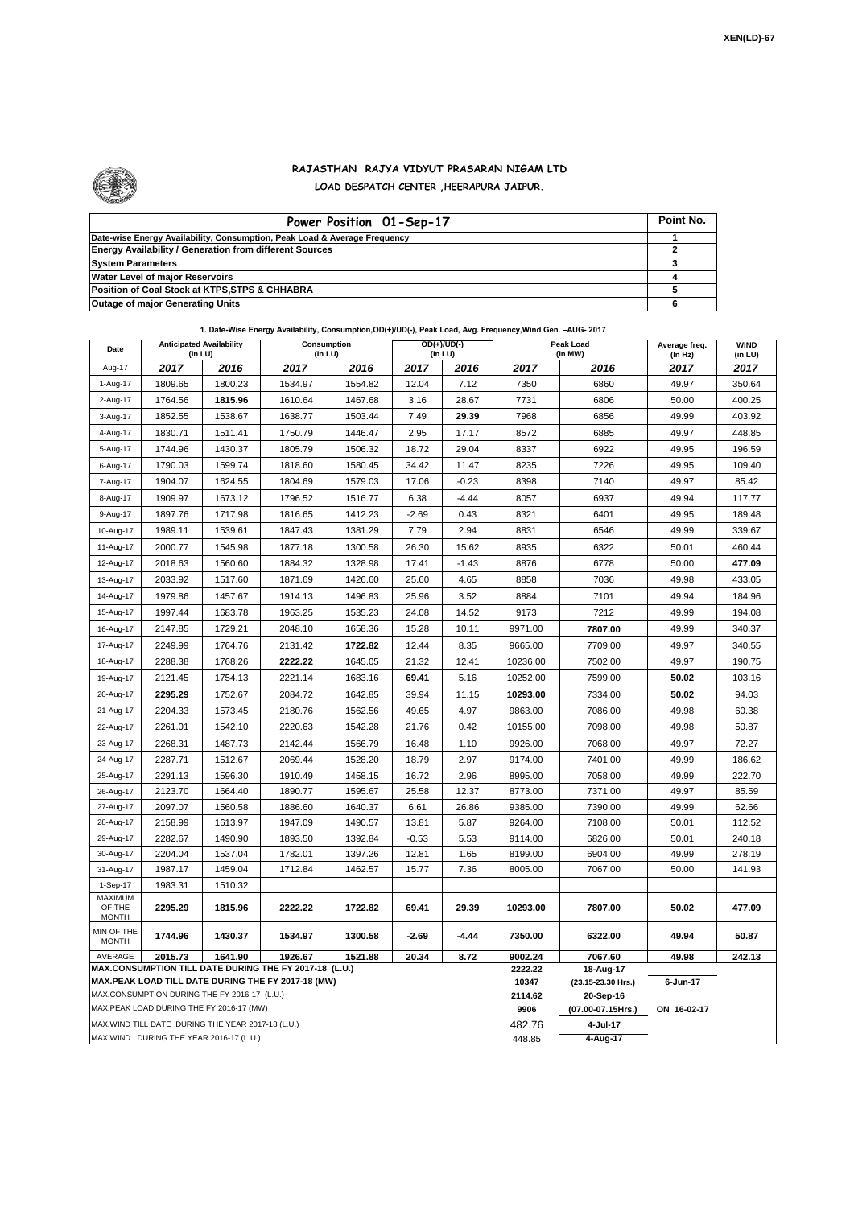

## **RAJASTHAN RAJYA VIDYUT PRASARAN NIGAM LTD LOAD DESPATCH CENTER ,HEERAPURA JAIPUR.**

| Power Position 01-Sep-17                                                  | Point No. |
|---------------------------------------------------------------------------|-----------|
| Date-wise Energy Availability, Consumption, Peak Load & Average Frequency |           |
| <b>Energy Availability / Generation from different Sources</b>            |           |
| <b>System Parameters</b>                                                  |           |
| Water Level of major Reservoirs                                           |           |
| Position of Coal Stock at KTPS, STPS & CHHABRA                            |           |
| <b>Outage of major Generating Units</b>                                   |           |

| Date                                                                                                         | <b>Anticipated Availability</b><br>$($ In LU $)$   |         | Consumption<br>(In LU) |         | $OD(+)/UD(-)$<br>$($ In LU $)$ |                  |                                 | Peak Load<br>(In MW) | Average freq.<br>(In Hz) | <b>WIND</b><br>(in LU) |  |  |
|--------------------------------------------------------------------------------------------------------------|----------------------------------------------------|---------|------------------------|---------|--------------------------------|------------------|---------------------------------|----------------------|--------------------------|------------------------|--|--|
| Aug-17                                                                                                       | 2017                                               | 2016    | 2017                   | 2016    | 2017                           | 2016             | 2017                            | 2016                 | 2017                     | 2017                   |  |  |
| 1-Aug-17                                                                                                     | 1809.65                                            | 1800.23 | 1534.97                | 1554.82 | 12.04                          | 7.12             | 7350                            | 6860                 | 49.97                    | 350.64                 |  |  |
| 2-Aug-17                                                                                                     | 1764.56                                            | 1815.96 | 1610.64                | 1467.68 | 3.16                           | 28.67            | 7731                            | 6806                 | 50.00                    | 400.25                 |  |  |
| 3-Aug-17                                                                                                     | 1852.55                                            | 1538.67 | 1638.77                | 1503.44 | 7.49                           | 29.39            | 7968                            | 6856                 | 49.99                    | 403.92                 |  |  |
| 4-Aug-17                                                                                                     | 1830.71                                            | 1511.41 | 1750.79                | 1446.47 | 2.95                           | 17.17            | 8572                            | 6885                 | 49.97                    | 448.85                 |  |  |
| 5-Aug-17                                                                                                     | 1744.96                                            | 1430.37 | 1805.79                | 1506.32 | 18.72                          | 29.04            | 8337                            | 6922                 | 49.95                    | 196.59                 |  |  |
| 6-Aug-17                                                                                                     | 1790.03                                            | 1599.74 | 1818.60                | 1580.45 | 34.42                          | 11.47            | 8235                            | 7226                 | 49.95                    | 109.40                 |  |  |
| 7-Aug-17                                                                                                     | 1904.07                                            | 1624.55 | 1804.69                | 1579.03 | 17.06                          | $-0.23$          | 8398                            | 7140                 | 49.97                    | 85.42                  |  |  |
| 8-Aug-17                                                                                                     | 1909.97                                            | 1673.12 | 1796.52                | 1516.77 | 6.38                           | $-4.44$          | 8057                            | 6937                 | 49.94                    | 117.77                 |  |  |
| 9-Aug-17                                                                                                     | 1897.76                                            | 1717.98 | 1816.65                | 1412.23 | $-2.69$                        | 0.43             | 8321                            | 6401                 | 49.95                    | 189.48                 |  |  |
| 10-Aug-17                                                                                                    | 1989.11                                            | 1539.61 | 1847.43                | 1381.29 | 7.79                           | 2.94             | 8831                            | 6546                 | 49.99                    | 339.67                 |  |  |
| 11-Aug-17                                                                                                    | 2000.77                                            | 1545.98 | 1877.18                | 1300.58 | 26.30                          | 15.62            | 8935                            | 6322                 | 50.01                    | 460.44                 |  |  |
| 12-Aug-17                                                                                                    | 2018.63                                            | 1560.60 | 1884.32                | 1328.98 | 17.41                          | $-1.43$          | 8876                            | 6778                 | 50.00                    | 477.09                 |  |  |
| 13-Aug-17                                                                                                    | 2033.92                                            | 1517.60 | 1871.69                | 1426.60 | 25.60                          | 4.65             | 8858                            | 7036                 | 49.98                    | 433.05                 |  |  |
| 14-Aug-17                                                                                                    | 1979.86                                            | 1457.67 | 1914.13                | 1496.83 | 25.96                          | 3.52             | 8884                            | 7101                 | 49.94                    | 184.96                 |  |  |
| 15-Aug-17                                                                                                    | 1997.44                                            | 1683.78 | 1963.25                | 1535.23 | 24.08                          | 14.52            | 9173                            | 7212                 | 49.99                    | 194.08                 |  |  |
| 16-Aug-17                                                                                                    | 2147.85                                            | 1729.21 | 2048.10                | 1658.36 | 15.28                          | 10.11            | 9971.00                         | 7807.00              | 49.99                    | 340.37                 |  |  |
| 17-Aug-17                                                                                                    | 2249.99                                            | 1764.76 | 2131.42                | 1722.82 | 12.44                          | 8.35             | 9665.00                         | 7709.00              | 49.97                    | 340.55                 |  |  |
| 18-Aug-17                                                                                                    | 2288.38                                            | 1768.26 | 2222.22                | 1645.05 | 21.32                          | 12.41            | 10236.00                        | 7502.00              | 49.97                    | 190.75                 |  |  |
| 19-Aug-17                                                                                                    | 2121.45                                            | 1754.13 | 2221.14                | 1683.16 | 69.41                          | 5.16             | 10252.00                        | 7599.00              | 50.02                    | 103.16                 |  |  |
| 20-Aug-17                                                                                                    | 2295.29                                            | 1752.67 | 2084.72                | 1642.85 | 39.94                          | 11.15            | 10293.00                        | 7334.00              | 50.02                    | 94.03                  |  |  |
| 21-Aug-17                                                                                                    | 2204.33                                            | 1573.45 | 2180.76                | 1562.56 | 49.65                          | 4.97             | 9863.00                         | 7086.00              | 49.98                    | 60.38                  |  |  |
| 22-Aug-17                                                                                                    | 2261.01                                            | 1542.10 | 2220.63                | 1542.28 | 21.76                          | 0.42             | 10155.00                        | 7098.00              | 49.98                    | 50.87                  |  |  |
| 23-Aug-17                                                                                                    | 2268.31                                            | 1487.73 | 2142.44                | 1566.79 | 16.48                          | 1.10             | 9926.00                         | 7068.00              | 49.97                    | 72.27                  |  |  |
| 24-Aug-17                                                                                                    | 2287.71                                            | 1512.67 | 2069.44                | 1528.20 | 18.79                          | 2.97             | 9174.00                         | 7401.00              | 49.99                    | 186.62                 |  |  |
| 25-Aug-17                                                                                                    | 2291.13                                            | 1596.30 | 1910.49                | 1458.15 | 16.72                          | 2.96             | 8995.00                         | 7058.00              | 49.99                    | 222.70                 |  |  |
| 26-Aug-17                                                                                                    | 2123.70                                            | 1664.40 | 1890.77                | 1595.67 | 25.58                          | 12.37            | 8773.00                         | 7371.00              | 49.97                    | 85.59                  |  |  |
| 27-Aug-17                                                                                                    | 2097.07                                            | 1560.58 | 1886.60                | 1640.37 | 6.61                           | 26.86            | 9385.00                         | 7390.00              | 49.99                    | 62.66                  |  |  |
| 28-Aug-17                                                                                                    | 2158.99                                            | 1613.97 | 1947.09                | 1490.57 | 13.81                          | 5.87             | 9264.00                         | 7108.00              | 50.01                    | 112.52                 |  |  |
| 29-Aug-17                                                                                                    | 2282.67                                            | 1490.90 | 1893.50                | 1392.84 | $-0.53$                        | 5.53             | 9114.00                         | 6826.00              | 50.01                    | 240.18                 |  |  |
| 30-Aug-17                                                                                                    | 2204.04                                            | 1537.04 | 1782.01                | 1397.26 | 12.81                          | 1.65             | 8199.00                         | 6904.00              | 49.99                    | 278.19                 |  |  |
| 31-Aug-17                                                                                                    | 1987.17                                            | 1459.04 | 1712.84                | 1462.57 | 15.77                          | 7.36             | 8005.00                         | 7067.00              | 50.00                    | 141.93                 |  |  |
| 1-Sep-17<br><b>MAXIMUM</b>                                                                                   | 1983.31                                            | 1510.32 |                        |         |                                |                  |                                 |                      |                          |                        |  |  |
| OF THE<br><b>MONTH</b>                                                                                       | 2295.29                                            | 1815.96 | 2222.22                | 1722.82 | 69.41                          | 29.39            | 10293.00                        | 7807.00              | 50.02                    | 477.09                 |  |  |
| MIN OF THE<br><b>MONTH</b>                                                                                   | 1744.96                                            | 1430.37 | 1534.97                | 1300.58 | $-2.69$                        | -4.44            | 7350.00                         | 6322.00              | 49.94                    | 50.87                  |  |  |
| AVERAGE<br>2015.73<br>1641.90<br>1926.67<br>1521.88<br>20.34<br>8.72                                         |                                                    |         |                        |         |                                |                  | 9002.24                         | 7067.60              | 49.98                    | 242.13                 |  |  |
| MAX.CONSUMPTION TILL DATE DURING THE FY 2017-18 (L.U.)<br>MAX.PEAK LOAD TILL DATE DURING THE FY 2017-18 (MW) |                                                    |         |                        |         |                                | 2222.22<br>10347 | 18-Aug-17<br>(23.15-23.30 Hrs.) | 6-Jun-17             |                          |                        |  |  |
| MAX.CONSUMPTION DURING THE FY 2016-17 (L.U.)                                                                 |                                                    |         |                        |         |                                |                  | 2114.62                         | 20-Sep-16            |                          |                        |  |  |
| MAX.PEAK LOAD DURING THE FY 2016-17 (MW)                                                                     |                                                    |         |                        |         |                                |                  | 9906                            | (07.00-07.15Hrs.)    | ON 16-02-17              |                        |  |  |
|                                                                                                              | MAX. WIND TILL DATE DURING THE YEAR 2017-18 (L.U.) |         |                        |         |                                |                  | 482.76                          | 4-Jul-17             |                          |                        |  |  |
| MAX.WIND DURING THE YEAR 2016-17 (L.U.)                                                                      |                                                    |         |                        |         |                                |                  | 448.85                          | 4-Aug-17             |                          |                        |  |  |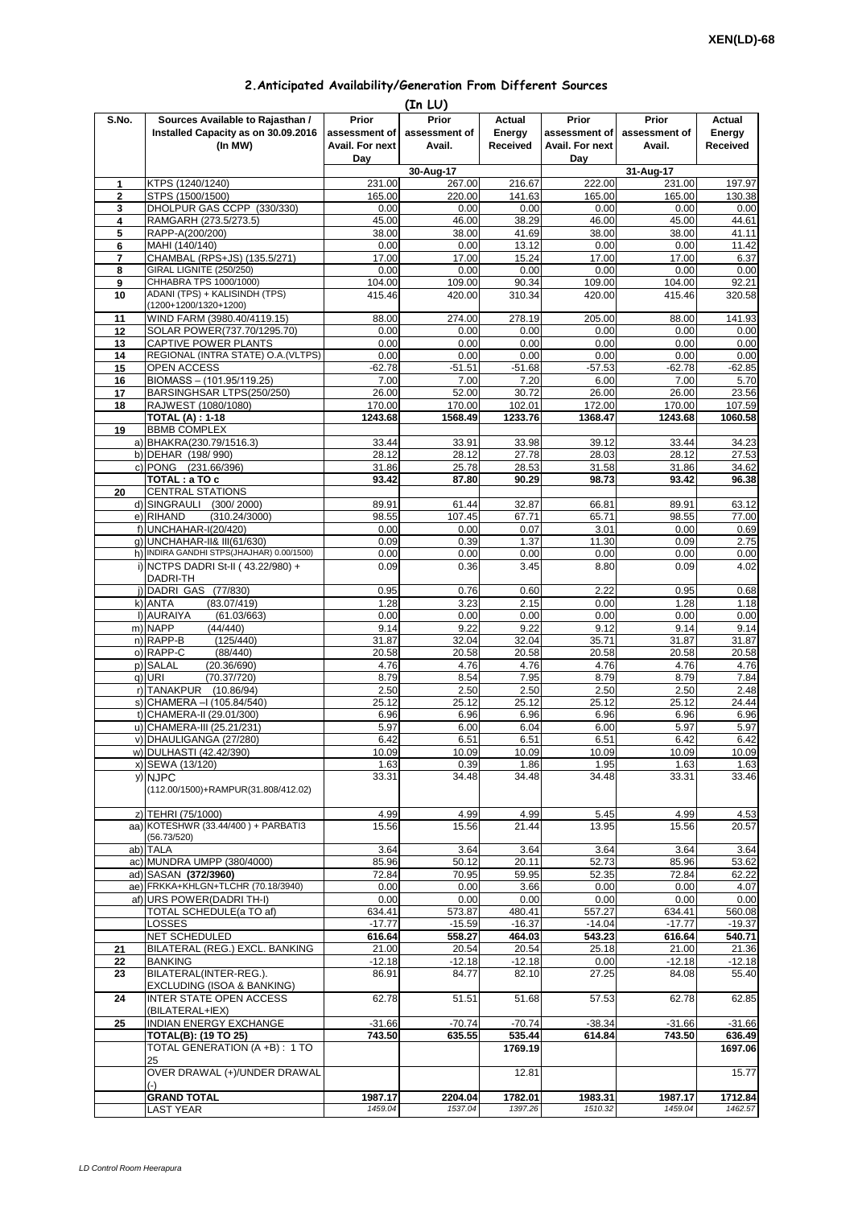## **2.Anticipated Availability/Generation From Different Sources (In LU)**

|              |                                                                                    | נשט וובן                                  |                                  |                              |                                           |                                  |                              |
|--------------|------------------------------------------------------------------------------------|-------------------------------------------|----------------------------------|------------------------------|-------------------------------------------|----------------------------------|------------------------------|
| S.No.        | Sources Available to Rajasthan /<br>Installed Capacity as on 30.09.2016<br>(In MW) | Prior<br>assessment of<br>Avail. For next | Prior<br>assessment of<br>Avail. | Actual<br>Energy<br>Received | Prior<br>assessment of<br>Avail. For next | Prior<br>assessment of<br>Avail. | Actual<br>Energy<br>Received |
|              |                                                                                    | Day                                       |                                  |                              | Day                                       |                                  |                              |
|              |                                                                                    |                                           | 30-Aug-17                        |                              |                                           | 31-Aug-17                        |                              |
| 1            | KTPS (1240/1240)                                                                   | 231.00                                    | 267.00                           | 216.67                       | 222.00                                    | 231.00                           | 197.97                       |
| $\mathbf{2}$ | STPS (1500/1500)                                                                   | 165.00                                    | 220.00                           | 141.63                       | 165.00                                    | 165.00                           | 130.38                       |
| 3            | DHOLPUR GAS CCPP (330/330)                                                         | 0.00                                      | 0.00                             | 0.00                         | 0.00                                      | 0.00                             | 0.00                         |
| 4            | RAMGARH (273.5/273.5)                                                              | 45.00                                     | 46.00                            | 38.29                        | 46.00                                     | 45.00                            | 44.61                        |
| 5            | RAPP-A(200/200)                                                                    | 38.00                                     | 38.00                            | 41.69                        | 38.00                                     | 38.00                            | 41.11                        |
| 6            | MAHI (140/140)                                                                     | 0.00                                      | 0.00                             | 13.12                        | 0.00                                      | 0.00                             | 11.42                        |
| 7            | CHAMBAL (RPS+JS) (135.5/271)                                                       | 17.00                                     | 17.00                            | 15.24                        | 17.00                                     | 17.00                            | 6.37                         |
| 8            | <b>GIRAL LIGNITE (250/250)</b>                                                     | 0.00                                      | 0.00                             | 0.00                         | 0.00                                      | 0.00                             | 0.00                         |
| 9            | CHHABRA TPS 1000/1000)                                                             | 104.00                                    | 109.00                           | 90.34                        | 109.00                                    | 104.00                           | 92.21                        |
| 10           | ADANI (TPS) + KALISINDH (TPS)<br>(1200+1200/1320+1200)                             | 415.46                                    | 420.00                           | 310.34                       | 420.00                                    | 415.46                           | 320.58                       |
| 11           | WIND FARM (3980.40/4119.15)                                                        | 88.00                                     | 274.00                           | 278.19                       | 205.00                                    | 88.00                            | 141.93                       |
| 12           | SOLAR POWER(737.70/1295.70)                                                        | 0.00                                      | 0.00                             | 0.00                         | 0.00                                      | 0.00                             | 0.00                         |
| 13           | CAPTIVE POWER PLANTS                                                               | 0.00                                      | 0.00                             | 0.00                         | 0.00                                      | 0.00                             | 0.00                         |
| 14           | REGIONAL (INTRA STATE) O.A. (VLTPS)                                                | 0.00                                      | 0.00                             | 0.00                         | 0.00                                      | 0.00                             | 0.00                         |
| 15           | OPEN ACCESS                                                                        | $-62.78$                                  | $-51.51$                         | $-51.68$                     | $-57.53$                                  | $-62.78$                         | $-62.85$                     |
| 16           | BIOMASS - (101.95/119.25)                                                          | 7.00                                      | 7.00                             | 7.20                         | 6.00                                      | 7.00                             | 5.70                         |
| 17           | BARSINGHSAR LTPS(250/250)                                                          | 26.00                                     | 52.00                            | 30.72                        | 26.00                                     | 26.00                            | 23.56                        |
| 18           | RAJWEST (1080/1080)                                                                | 170.00                                    | 170.00                           | 102.01                       | 172.00                                    | 170.00                           | 107.59                       |
|              | <b>TOTAL (A): 1-18</b>                                                             | 1243.68                                   | 1568.49                          | 1233.76                      | 1368.47                                   | 1243.68                          | 1060.58                      |
| 19           | <b>BBMB COMPLEX</b>                                                                |                                           |                                  |                              |                                           |                                  |                              |
|              | a) BHAKRA(230.79/1516.3)                                                           | 33.44                                     | 33.91                            | 33.98                        | 39.12                                     | 33.44                            | 34.23                        |
|              | b) DEHAR (198/990)                                                                 | 28.12                                     | 28.12                            | 27.78                        | 28.03                                     | 28.12                            | 27.53                        |
|              | c) PONG (231.66/396)                                                               | 31.86                                     | 25.78                            | 28.53                        | 31.58                                     | 31.86                            | 34.62                        |
|              | TOTAL : a TO c                                                                     | 93.42                                     | 87.80                            | 90.29                        | 98.73                                     | 93.42                            | 96.38                        |
| 20           | <b>CENTRAL STATIONS</b>                                                            |                                           |                                  |                              |                                           |                                  |                              |
|              | d) SINGRAULI<br>(300/2000)                                                         | 89.91                                     | 61.44                            | 32.87                        | 66.81                                     | 89.91                            | 63.12                        |
|              | e) RIHAND<br>(310.24/3000)                                                         | 98.55                                     | 107.45                           | 67.71                        | 65.71                                     | 98.55                            | 77.00                        |
|              |                                                                                    |                                           |                                  |                              |                                           |                                  |                              |
|              | f) UNCHAHAR-I(20/420)                                                              | 0.00<br>0.09                              | 0.00                             | 0.07                         | 3.01                                      | 0.00                             | 0.69                         |
|              | g) UNCHAHAR-II& III(61/630)                                                        |                                           | 0.39                             | 1.37                         | 11.30                                     | 0.09                             | 2.75                         |
|              | h) INDIRA GANDHI STPS(JHAJHAR) 0.00/1500)                                          | 0.00                                      | 0.00                             | 0.00                         | 0.00                                      | 0.00                             | 0.00                         |
|              | i) NCTPS DADRI St-II (43.22/980) +                                                 | 0.09                                      | 0.36                             | 3.45                         | 8.80                                      | 0.09                             | 4.02                         |
|              | DADRI-TH                                                                           |                                           |                                  |                              |                                           |                                  |                              |
| i)           | DADRI GAS (77/830)                                                                 | 0.95                                      | 0.76                             | 0.60                         | 2.22                                      | 0.95                             | 0.68                         |
|              | k) ANTA<br>(83.07/419)                                                             | 1.28                                      | 3.23                             | 2.15                         | 0.00                                      | 1.28                             | 1.18                         |
|              | I) AURAIYA<br>(61.03/663)                                                          | 0.00                                      | 0.00                             | 0.00                         | 0.00                                      | 0.00                             | 0.00                         |
|              | m) NAPP<br>(44/440)                                                                | 9.14                                      | 9.22                             | 9.22                         | 9.12                                      | 9.14                             | 9.14                         |
|              | n) RAPP-B<br>(125/440)                                                             | 31.87                                     | 32.04                            | 32.04                        | 35.71                                     | 31.87                            | 31.87                        |
|              | o) RAPP-C<br>(88/440)                                                              | 20.58                                     | 20.58                            | 20.58                        | 20.58                                     | 20.58                            | 20.58                        |
|              | p) SALAL<br>(20.36/690)                                                            | 4.76                                      | 4.76                             | 4.76                         | 4.76                                      | 4.76                             | 4.76                         |
|              | a) URI<br>(70.37/720)                                                              | 8.79                                      | 8.54                             | 7.95                         | 8.79                                      | 8.79                             | 7.84                         |
|              | r) TANAKPUR<br>(10.86/94)                                                          | 2.50                                      | 2.50                             | 2.50                         | 2.50                                      | 2.50                             | 2.48                         |
|              | s) CHAMERA - (105.84/540)                                                          | 25.12                                     | 25.12                            | 25.12                        | 25.12                                     | 25.12                            | 24.44                        |
|              | t) CHAMERA-II (29.01/300)                                                          | 6.96                                      | 6.96                             | 6.96                         | 6.96                                      | 6.96                             | 6.96                         |
|              | u) CHAMERA-III (25.21/231)                                                         | 5.97                                      | 6.00                             | 6.04                         | 6.00                                      | 5.97                             | 5.97                         |
|              | v) DHAULIGANGA (27/280)                                                            | 6.42                                      | 6.51                             | 6.51                         | 6.51                                      | 6.42                             | 6.42                         |
|              |                                                                                    |                                           |                                  |                              |                                           |                                  | 10.09                        |
|              | w) DULHASTI (42.42/390)                                                            | 10.09<br>1.63                             | 10.09<br>0.39                    | 10.09<br>1.86                | 10.09<br>1.95                             | 10.09<br>1.63                    | 1.63                         |
|              | x) SEWA (13/120)                                                                   |                                           |                                  |                              |                                           |                                  |                              |
|              | y) NJPC                                                                            | 33.31                                     | 34.48                            | 34.48                        | 34.48                                     | 33.31                            | 33.46                        |
|              | (112.00/1500)+RAMPUR(31.808/412.02)                                                |                                           |                                  |                              |                                           |                                  |                              |
|              |                                                                                    |                                           |                                  |                              |                                           |                                  |                              |
|              | z) TEHRI (75/1000)                                                                 | 4.99                                      | 4.99                             | 4.99                         | 5.45                                      | 4.99                             | 4.53                         |
|              | aa) KOTESHWR (33.44/400) + PARBATI3                                                | 15.56                                     | 15.56                            | 21.44                        | 13.95                                     | 15.56                            | 20.57                        |
|              | (56.73/520)                                                                        |                                           |                                  |                              |                                           |                                  |                              |
|              | ab) TALA                                                                           | 3.64                                      | 3.64                             | 3.64                         | 3.64                                      | 3.64                             | 3.64                         |
|              | ac) MUNDRA UMPP (380/4000)                                                         | 85.96                                     | 50.12                            | 20.11                        | 52.73                                     | 85.96                            | 53.62                        |
|              | ad) SASAN (372/3960)                                                               | 72.84                                     | 70.95                            | 59.95                        | 52.35                                     | 72.84                            | 62.22                        |
|              | ae) FRKKA+KHLGN+TLCHR (70.18/3940)                                                 | 0.00                                      | 0.00                             | 3.66                         | 0.00                                      | 0.00                             | 4.07                         |
|              | af) URS POWER(DADRI TH-I)                                                          | 0.00                                      | 0.00                             | 0.00                         | 0.00                                      | 0.00                             | 0.00                         |
|              | TOTAL SCHEDULE(a TO af)                                                            | 634.41                                    | 573.87                           | 480.41                       | 557.27                                    | 634.41                           | 560.08                       |
|              | LOSSES                                                                             | $-17.77$                                  | $-15.59$                         | $-16.37$                     | $-14.04$                                  | $-17.77$                         | $-19.37$                     |
|              | NET SCHEDULED                                                                      | 616.64                                    | 558.27                           | 464.03                       | 543.23                                    | 616.64                           | 540.71                       |
| 21           | BILATERAL (REG.) EXCL. BANKING                                                     | 21.00                                     | 20.54                            | 20.54                        | 25.18                                     | 21.00                            | 21.36                        |
| 22           | <b>BANKING</b>                                                                     | $-12.18$                                  | $-12.18$                         | $-12.18$                     | 0.00                                      | $-12.18$                         | $-12.18$                     |
| 23           | BILATERAL(INTER-REG.).<br>EXCLUDING (ISOA & BANKING)                               | 86.91                                     | 84.77                            | 82.10                        | 27.25                                     | 84.08                            | 55.40                        |
| 24           | <b>INTER STATE OPEN ACCESS</b>                                                     | 62.78                                     | 51.51                            | 51.68                        | 57.53                                     | 62.78                            | 62.85                        |
| 25           | (BILATERAL+IEX)<br>INDIAN ENERGY EXCHANGE                                          | $-31.66$                                  | $-70.74$                         | $-70.74$                     | $-38.34$                                  | $-31.66$                         | $-31.66$                     |
|              | <b>TOTAL(B): (19 TO 25)</b>                                                        | 743.50                                    | 635.55                           | 535.44                       | 614.84                                    | 743.50                           | 636.49                       |
|              | TOTAL GENERATION (A +B) : 1 TO                                                     |                                           |                                  |                              |                                           |                                  |                              |
|              | 25                                                                                 |                                           |                                  | 1769.19                      |                                           |                                  | 1697.06                      |
|              | OVER DRAWAL (+)/UNDER DRAWAL<br>$(-)$                                              |                                           |                                  | 12.81                        |                                           |                                  | 15.77                        |
|              | <b>GRAND TOTAL</b>                                                                 | 1987.17                                   | 2204.04                          | 1782.01                      | 1983.31                                   | 1987.17                          | 1712.84                      |
|              | <b>LAST YEAR</b>                                                                   | 1459.04                                   | 1537.04                          | 1397.26                      | 1510.32                                   | 1459.04                          | 1462.57                      |